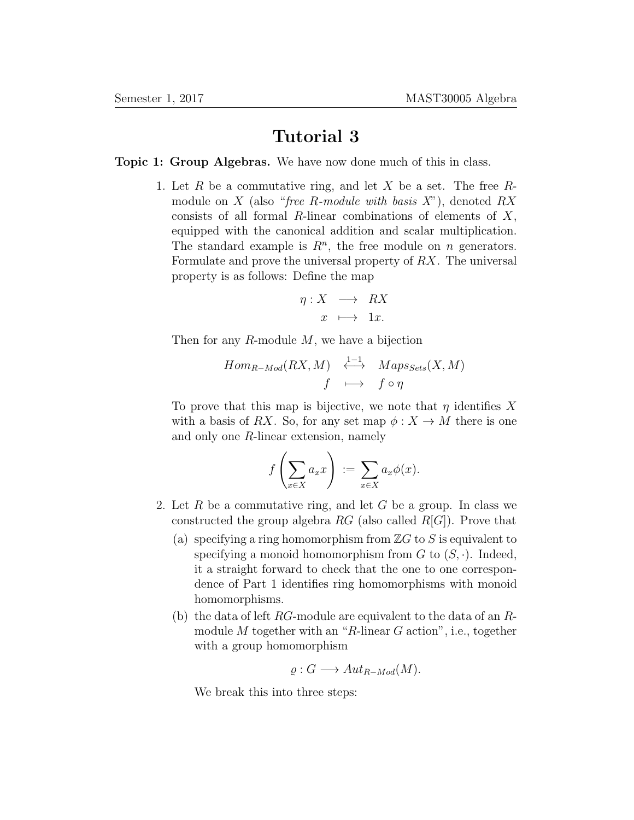## Tutorial 3

## Topic 1: Group Algebras. We have now done much of this in class.

1. Let R be a commutative ring, and let X be a set. The free  $R$ module on X (also "free R-module with basis  $X$ "), denoted RX consists of all formal  $R$ -linear combinations of elements of  $X$ , equipped with the canonical addition and scalar multiplication. The standard example is  $R<sup>n</sup>$ , the free module on *n* generators. Formulate and prove the universal property of RX. The universal property is as follows: Define the map

$$
\eta: X \longrightarrow RX
$$

$$
x \longrightarrow 1x.
$$

Then for any  $R$ -module  $M$ , we have a bijection

$$
Hom_{R-Mod}(RX, M) \xrightarrow{1-1} Maps_{Sets}(X, M)
$$
  
 $f \longmapsto f \circ \eta$ 

To prove that this map is bijective, we note that  $\eta$  identifies X with a basis of RX. So, for any set map  $\phi: X \to M$  there is one and only one R-linear extension, namely

$$
f\left(\sum_{x\in X} a_x x\right) := \sum_{x\in X} a_x \phi(x).
$$

- 2. Let R be a commutative ring, and let G be a group. In class we constructed the group algebra  $RG$  (also called  $R[G]$ ). Prove that
	- (a) specifying a ring homomorphism from  $\mathbb{Z}G$  to S is equivalent to specifying a monoid homomorphism from  $G$  to  $(S, \cdot)$ . Indeed, it a straight forward to check that the one to one correspondence of Part 1 identifies ring homomorphisms with monoid homomorphisms.
	- (b) the data of left  $RG$ -module are equivalent to the data of an  $R$ module  $M$  together with an "R-linear  $G$  action", i.e., together with a group homomorphism

$$
\varrho: G \longrightarrow Aut_{R-Mod}(M).
$$

We break this into three steps: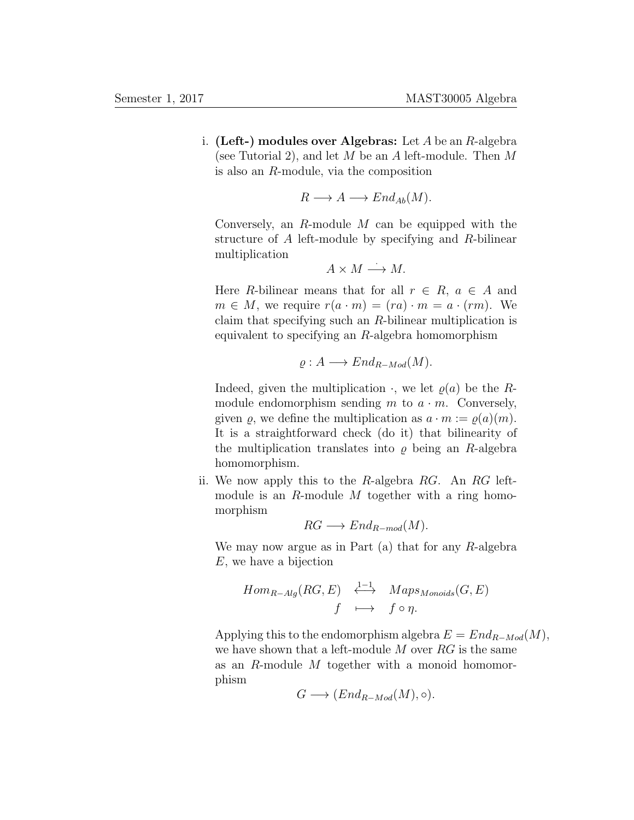i. (Left-) modules over Algebras: Let  $A$  be an  $R$ -algebra (see Tutorial 2), and let M be an A left-module. Then M is also an R-module, via the composition

$$
R \longrightarrow A \longrightarrow End_{Ab}(M).
$$

Conversely, an  $R$ -module  $M$  can be equipped with the structure of A left-module by specifying and R-bilinear multiplication

$$
A \times M \longrightarrow M.
$$

Here R-bilinear means that for all  $r \in R$ ,  $a \in A$  and  $m \in M$ , we require  $r(a \cdot m) = (ra) \cdot m = a \cdot (rm)$ . We claim that specifying such an R-bilinear multiplication is equivalent to specifying an  $R$ -algebra homomorphism

$$
\varrho: A \longrightarrow End_{R-Mod}(M).
$$

Indeed, given the multiplication  $\cdot$ , we let  $\rho(a)$  be the Rmodule endomorphism sending  $m$  to  $a \cdot m$ . Conversely, given  $\varrho$ , we define the multiplication as  $a \cdot m := \varrho(a)(m)$ . It is a straightforward check (do it) that bilinearity of the multiplication translates into  $\rho$  being an R-algebra homomorphism.

ii. We now apply this to the R-algebra RG. An RG leftmodule is an R-module M together with a ring homomorphism

$$
RG \longrightarrow End_{R-mod}(M).
$$

We may now argue as in Part  $(a)$  that for any R-algebra E, we have a bijection

$$
Hom_{R-Alg}(RG, E) \xrightarrow{1-1} Maps_{Monoids}(G, E)
$$
  
 $f \longmapsto f \circ \eta.$ 

Applying this to the endomorphism algebra  $E = End_{R-Mod}(M)$ , we have shown that a left-module  $M$  over  $RG$  is the same as an R-module M together with a monoid homomorphism

$$
G \longrightarrow (End_{R-Mod}(M), \circ).
$$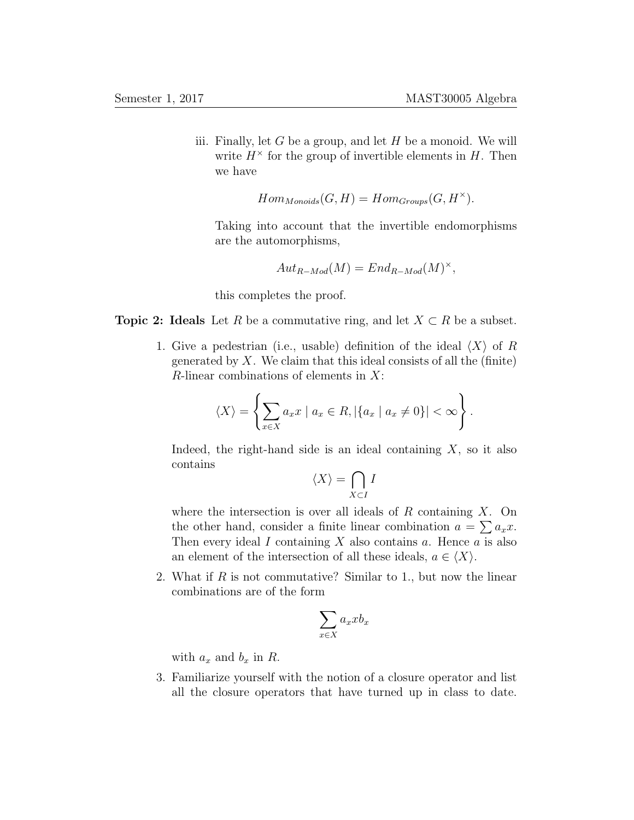iii. Finally, let  $G$  be a group, and let  $H$  be a monoid. We will write  $H^{\times}$  for the group of invertible elements in H. Then we have

$$
Hom_{Monoids}(G, H) = Hom_{Groups}(G, H^{\times}).
$$

Taking into account that the invertible endomorphisms are the automorphisms,

$$
Aut_{R-Mod}(M) = End_{R-Mod}(M)^{\times},
$$

this completes the proof.

- **Topic 2:** Ideals Let R be a commutative ring, and let  $X \subset R$  be a subset.
	- 1. Give a pedestrian (i.e., usable) definition of the ideal  $\langle X \rangle$  of R generated by  $X$ . We claim that this ideal consists of all the (finite)  $R$ -linear combinations of elements in  $X$ :

$$
\langle X \rangle = \left\{ \sum_{x \in X} a_x x \mid a_x \in R, |\{a_x \mid a_x \neq 0\}| < \infty \right\}.
$$

Indeed, the right-hand side is an ideal containing  $X$ , so it also contains

$$
\langle X\rangle=\bigcap_{X\subset I}I
$$

where the intersection is over all ideals of  $R$  containing  $X$ . On the other hand, consider a finite linear combination  $a = \sum a_x x$ . Then every ideal I containing X also contains  $\alpha$ . Hence  $\alpha$  is also an element of the intersection of all these ideals,  $a \in \langle X \rangle$ .

2. What if R is not commutative? Similar to 1., but now the linear combinations are of the form

$$
\sum_{x \in X} a_x x b_x
$$

with  $a_x$  and  $b_x$  in R.

3. Familiarize yourself with the notion of a closure operator and list all the closure operators that have turned up in class to date.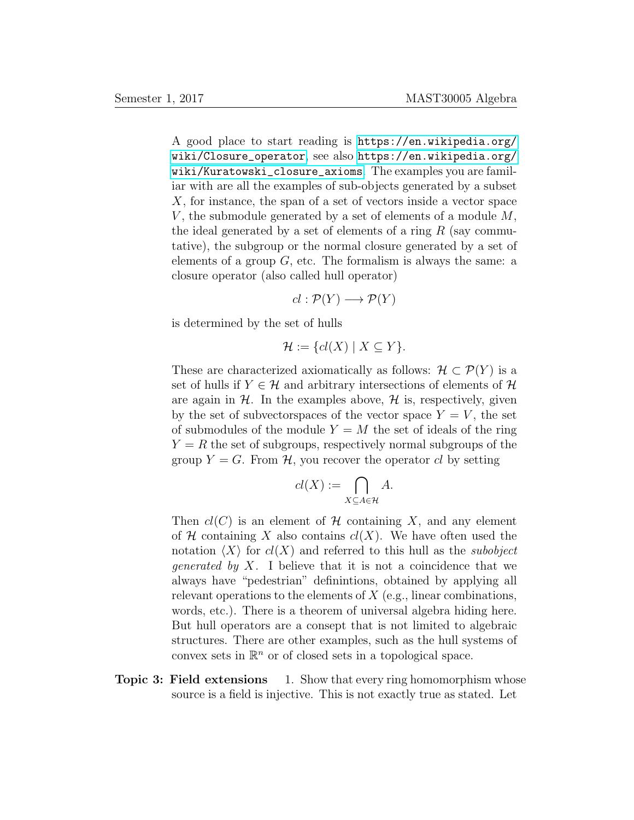A good place to start reading is [https://en.wikipedia.org/](https://en.wikipedia.org/wiki/Closure_operator) [wiki/Closure\\_operator](https://en.wikipedia.org/wiki/Closure_operator), see also [https://en.wikipedia.org/](https://en.wikipedia.org/wiki/Kuratowski_closure_axioms) [wiki/Kuratowski\\_closure\\_axioms](https://en.wikipedia.org/wiki/Kuratowski_closure_axioms). The examples you are familiar with are all the examples of sub-objects generated by a subset X, for instance, the span of a set of vectors inside a vector space V, the submodule generated by a set of elements of a module  $M$ , the ideal generated by a set of elements of a ring  $R$  (say commutative), the subgroup or the normal closure generated by a set of elements of a group  $G$ , etc. The formalism is always the same: a closure operator (also called hull operator)

$$
cl: \mathcal{P}(Y) \longrightarrow \mathcal{P}(Y)
$$

is determined by the set of hulls

$$
\mathcal{H} := \{ cl(X) \mid X \subseteq Y \}.
$$

These are characterized axiomatically as follows:  $\mathcal{H} \subset \mathcal{P}(Y)$  is a set of hulls if  $Y \in \mathcal{H}$  and arbitrary intersections of elements of  $\mathcal{H}$ are again in  $H$ . In the examples above,  $H$  is, respectively, given by the set of subvectorspaces of the vector space  $Y = V$ , the set of submodules of the module  $Y = M$  the set of ideals of the ring  $Y = R$  the set of subgroups, respectively normal subgroups of the group  $Y = G$ . From H, you recover the operator cl by setting

$$
cl(X) := \bigcap_{X \subseteq A \in \mathcal{H}} A.
$$

Then  $cl(C)$  is an element of H containing X, and any element of  $H$  containing X also contains  $cl(X)$ . We have often used the notation  $\langle X \rangle$  for  $cl(X)$  and referred to this hull as the *subobject generated by X*. I believe that it is not a coincidence that we always have "pedestrian" definintions, obtained by applying all relevant operations to the elements of  $X$  (e.g., linear combinations, words, etc.). There is a theorem of universal algebra hiding here. But hull operators are a consept that is not limited to algebraic structures. There are other examples, such as the hull systems of convex sets in  $\mathbb{R}^n$  or of closed sets in a topological space.

**Topic 3: Field extensions** 1. Show that every ring homomorphism whose source is a field is injective. This is not exactly true as stated. Let